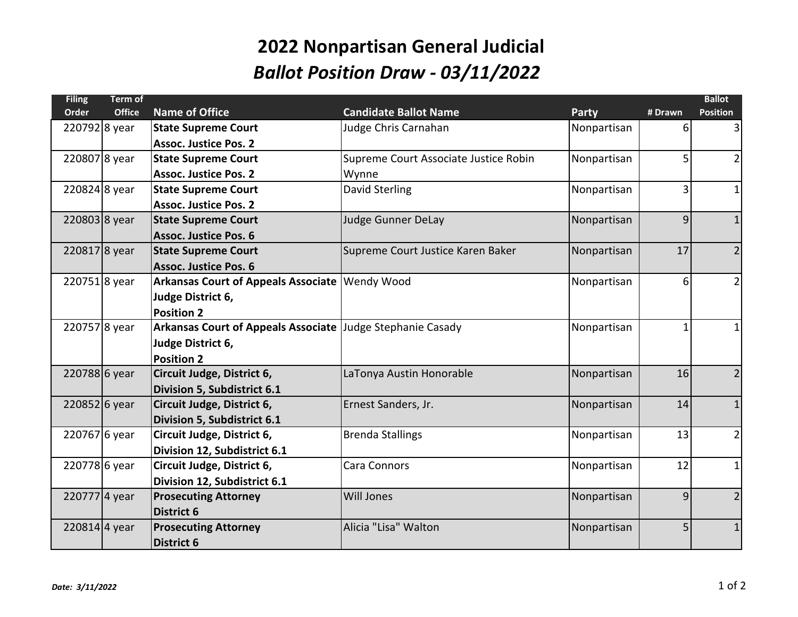## **2022 Nonpartisan General Judicial** *Ballot Position Draw - 03/11/2022*

| <b>Filing</b> | Term of       |                                                            |                                       |             |                | <b>Ballot</b>   |
|---------------|---------------|------------------------------------------------------------|---------------------------------------|-------------|----------------|-----------------|
| <b>Order</b>  | <b>Office</b> | <b>Name of Office</b>                                      | <b>Candidate Ballot Name</b>          | Party       | # Drawn        | <b>Position</b> |
| 220792 8 year |               | <b>State Supreme Court</b>                                 | Judge Chris Carnahan                  | Nonpartisan | 6              | 3               |
|               |               | <b>Assoc. Justice Pos. 2</b>                               |                                       |             |                |                 |
| 2208078 year  |               | <b>State Supreme Court</b>                                 | Supreme Court Associate Justice Robin | Nonpartisan | 5              | $\overline{2}$  |
|               |               | Assoc. Justice Pos. 2                                      | Wynne                                 |             |                |                 |
| 220824 8 year |               | <b>State Supreme Court</b>                                 | David Sterling                        | Nonpartisan | $\overline{3}$ | 1               |
|               |               | <b>Assoc. Justice Pos. 2</b>                               |                                       |             |                |                 |
| 220803 8 year |               | <b>State Supreme Court</b>                                 | <b>Judge Gunner DeLay</b>             | Nonpartisan | $\overline{9}$ | $\mathbf{1}$    |
|               |               | <b>Assoc. Justice Pos. 6</b>                               |                                       |             |                |                 |
| 2208178 year  |               | <b>State Supreme Court</b>                                 | Supreme Court Justice Karen Baker     | Nonpartisan | 17             | $\overline{2}$  |
|               |               | <b>Assoc. Justice Pos. 6</b>                               |                                       |             |                |                 |
| 2207518 year  |               | Arkansas Court of Appeals Associate   Wendy Wood           |                                       | Nonpartisan | 6              | $\overline{2}$  |
|               |               | Judge District 6,                                          |                                       |             |                |                 |
|               |               | <b>Position 2</b>                                          |                                       |             |                |                 |
| 2207578 year  |               | Arkansas Court of Appeals Associate Judge Stephanie Casady |                                       | Nonpartisan | 1              | $1\vert$        |
|               |               | Judge District 6,                                          |                                       |             |                |                 |
|               |               | <b>Position 2</b>                                          |                                       |             |                |                 |
| 220788 6 year |               | Circuit Judge, District 6,                                 | LaTonya Austin Honorable              | Nonpartisan | 16             | 2               |
|               |               | Division 5, Subdistrict 6.1                                |                                       |             |                |                 |
| 220852 6 year |               | Circuit Judge, District 6,                                 | Ernest Sanders, Jr.                   | Nonpartisan | 14             | $\mathbf{1}$    |
|               |               | Division 5, Subdistrict 6.1                                |                                       |             |                |                 |
| 220767 6 year |               | Circuit Judge, District 6,                                 | <b>Brenda Stallings</b>               | Nonpartisan | 13             | $\overline{2}$  |
|               |               | Division 12, Subdistrict 6.1                               |                                       |             |                |                 |
| 220778 6 year |               | Circuit Judge, District 6,                                 | Cara Connors                          | Nonpartisan | 12             | 1               |
|               |               | Division 12, Subdistrict 6.1                               |                                       |             |                |                 |
| 2207774 year  |               | <b>Prosecuting Attorney</b>                                | <b>Will Jones</b>                     | Nonpartisan | 9              | $\overline{2}$  |
|               |               | <b>District 6</b>                                          |                                       |             |                |                 |
| 220814 4 year |               | <b>Prosecuting Attorney</b>                                | Alicia "Lisa" Walton                  | Nonpartisan | 5              | $\mathbf{1}$    |
|               |               | <b>District 6</b>                                          |                                       |             |                |                 |